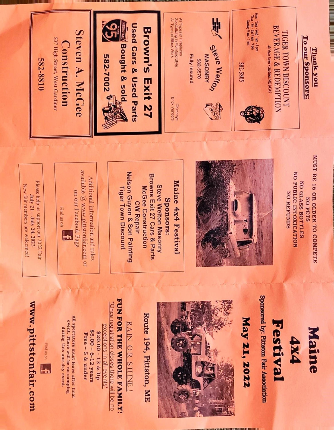

## www.pittstonfair.com



All spectators must leave after final event. There will be no camping during this one-day event.

\$5.00 - 6-12 years \$20.00 - 13 & Up Free - 5 & under

\*Once registration closes there will be no exceptions in all events\*

FUN FOR THE WHOLE FAMILY!

RAIN OR SHINE!



Route 194, Pittston, ME